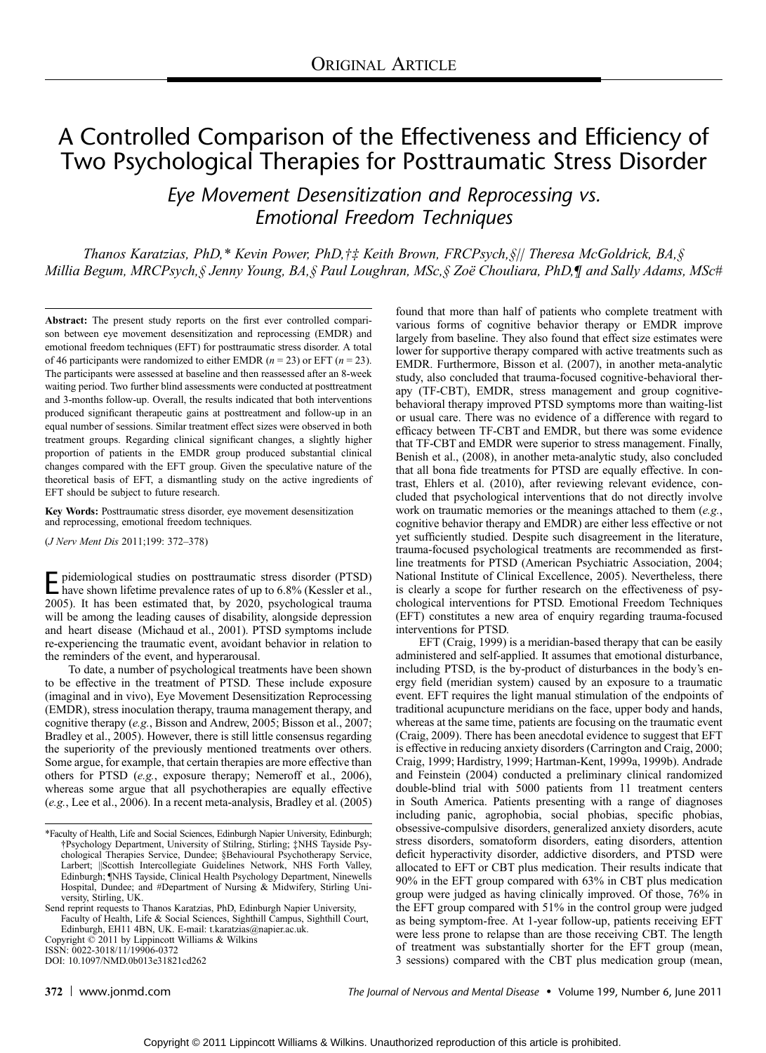# A Controlled Comparison of the Effectiveness and Efficiency of Two Psychological Therapies for Posttraumatic Stress Disorder

Eye Movement Desensitization and Reprocessing vs. Emotional Freedom Techniques

Thanos Karatzias, PhD,\* Kevin Power, PhD,†‡ Keith Brown, FRCPsych, $\S$ || Theresa McGoldrick, BA, $\S$ Millia Begum, MRCPsych, § Jenny Young, BA, § Paul Loughran, MSc, § Zoë Chouliara, PhD,¶ and Sally Adams, MSc#

Abstract: The present study reports on the first ever controlled comparison between eye movement desensitization and reprocessing (EMDR) and emotional freedom techniques (EFT) for posttraumatic stress disorder. A total of 46 participants were randomized to either EMDR ( $n = 23$ ) or EFT ( $n = 23$ ). The participants were assessed at baseline and then reassessed after an 8-week waiting period. Two further blind assessments were conducted at posttreatment and 3-months follow-up. Overall, the results indicated that both interventions produced significant therapeutic gains at posttreatment and follow-up in an equal number of sessions. Similar treatment effect sizes were observed in both treatment groups. Regarding clinical significant changes, a slightly higher proportion of patients in the EMDR group produced substantial clinical changes compared with the EFT group. Given the speculative nature of the theoretical basis of EFT, a dismantling study on the active ingredients of EFT should be subject to future research.

Key Words: Posttraumatic stress disorder, eye movement desensitization and reprocessing, emotional freedom techniques.

(J Nerv Ment Dis 2011;199: 372-378)

E pidemiological studies on posttraumatic stress disorder (PTSD) have shown lifetime prevalence rates of up to 6.8% (Kessler et al., 2005). It has been estimated that, by 2020, psychological trauma will be among the leading causes of disability, alongside depression and heart disease (Michaud et al., 2001). PTSD symptoms include re-experiencing the traumatic event, avoidant behavior in relation to the reminders of the event, and hyperarousal.

To date, a number of psychological treatments have been shown to be effective in the treatment of PTSD. These include exposure (imaginal and in vivo), Eye Movement Desensitization Reprocessing (EMDR), stress inoculation therapy, trauma management therapy, and cognitive therapy (e.g., Bisson and Andrew, 2005; Bisson et al., 2007; Bradley et al., 2005). However, there is still little consensus regarding the superiority of the previously mentioned treatments over others. Some argue, for example, that certain therapies are more effective than others for PTSD (e.g., exposure therapy; Nemeroff et al., 2006), whereas some argue that all psychotherapies are equally effective (e.g., Lee et al., 2006). In a recent meta-analysis, Bradley et al. (2005)

Send reprint requests to Thanos Karatzias, PhD, Edinburgh Napier University, Faculty of Health, Life & Social Sciences, Sighthill Campus, Sighthill Court, Edinburgh, EH11 4BN, UK. E-mail: t.karatzias@napier.ac.uk. Copyright  $@$  2011 by Lippincott Williams & Wilkins ISSN: 0022-3018/11/19906<0372

DOI: 10.1097/NMD.0b013e31821cd262

found that more than half of patients who complete treatment with various forms of cognitive behavior therapy or EMDR improve largely from baseline. They also found that effect size estimates were lower for supportive therapy compared with active treatments such as EMDR. Furthermore, Bisson et al. (2007), in another meta-analytic study, also concluded that trauma-focused cognitive-behavioral therapy (TF-CBT), EMDR, stress management and group cognitivebehavioral therapy improved PTSD symptoms more than waiting-list or usual care. There was no evidence of a difference with regard to efficacy between TF-CBT and EMDR, but there was some evidence that TF-CBT and EMDR were superior to stress management. Finally, Benish et al., (2008), in another meta-analytic study, also concluded that all bona fide treatments for PTSD are equally effective. In contrast, Ehlers et al. (2010), after reviewing relevant evidence, concluded that psychological interventions that do not directly involve work on traumatic memories or the meanings attached to them  $(e.g.,)$ cognitive behavior therapy and EMDR) are either less effective or not yet sufficiently studied. Despite such disagreement in the literature, trauma-focused psychological treatments are recommended as firstline treatments for PTSD (American Psychiatric Association, 2004; National Institute of Clinical Excellence, 2005). Nevertheless, there is clearly a scope for further research on the effectiveness of psychological interventions for PTSD. Emotional Freedom Techniques (EFT) constitutes a new area of enquiry regarding trauma-focused interventions for PTSD.

EFT (Craig, 1999) is a meridian-based therapy that can be easily administered and self-applied. It assumes that emotional disturbance, including PTSD, is the by-product of disturbances in the body's energy field (meridian system) caused by an exposure to a traumatic event. EFT requires the light manual stimulation of the endpoints of traditional acupuncture meridians on the face, upper body and hands, whereas at the same time, patients are focusing on the traumatic event (Craig, 2009). There has been anecdotal evidence to suggest that EFT is effective in reducing anxiety disorders (Carrington and Craig, 2000; Craig, 1999; Hardistry, 1999; Hartman-Kent, 1999a, 1999b). Andrade and Feinstein (2004) conducted a preliminary clinical randomized double-blind trial with 5000 patients from 11 treatment centers in South America. Patients presenting with a range of diagnoses including panic, agrophobia, social phobias, specific phobias, obsessive-compulsive disorders, generalized anxiety disorders, acute stress disorders, somatoform disorders, eating disorders, attention deficit hyperactivity disorder, addictive disorders, and PTSD were allocated to EFT or CBT plus medication. Their results indicate that 90% in the EFT group compared with 63% in CBT plus medication group were judged as having clinically improved. Of those, 76% in the EFT group compared with 51% in the control group were judged as being symptom-free. At 1-year follow-up, patients receiving EFT were less prone to relapse than are those receiving CBT. The length of treatment was substantially shorter for the EFT group (mean, 3 sessions) compared with the CBT plus medication group (mean,

372 www.jonmd.com The Journal of Nervous and Mental Disease • Volume 199, Number 6, June 2011

<sup>\*</sup>Faculty of Health, Life and Social Sciences, Edinburgh Napier University, Edinburgh; †Psychology Department, University of Stilring, Stirling; ‡NHS Tayside Psychological Therapies Service, Dundee; §Behavioural Psychotherapy Service, Larbert; ||Scottish Intercollegiate Guidelines Network, NHS Forth Valley, Edinburgh; ¶NHS Tayside, Clinical Health Psychology Department, Ninewells Hospital, Dundee; and #Department of Nursing & Midwifery, Stirling University, Stirling, UK.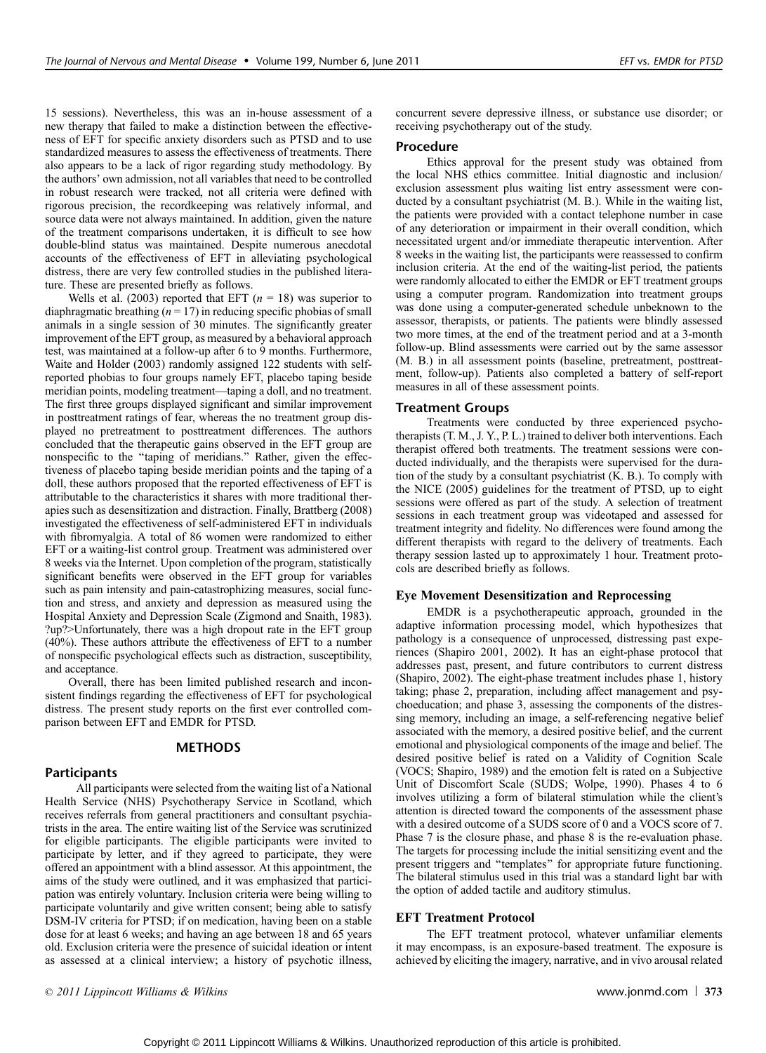15 sessions). Nevertheless, this was an in-house assessment of a new therapy that failed to make a distinction between the effectiveness of EFT for specific anxiety disorders such as PTSD and to use standardized measures to assess the effectiveness of treatments. There also appears to be a lack of rigor regarding study methodology. By the authors' own admission, not all variables that need to be controlled in robust research were tracked, not all criteria were defined with rigorous precision, the recordkeeping was relatively informal, and source data were not always maintained. In addition, given the nature of the treatment comparisons undertaken, it is difficult to see how double-blind status was maintained. Despite numerous anecdotal accounts of the effectiveness of EFT in alleviating psychological distress, there are very few controlled studies in the published literature. These are presented briefly as follows.

Wells et al. (2003) reported that EFT  $(n = 18)$  was superior to diaphragmatic breathing  $(n = 17)$  in reducing specific phobias of small animals in a single session of 30 minutes. The significantly greater improvement of the EFT group, as measured by a behavioral approach test, was maintained at a follow-up after 6 to 9 months. Furthermore, Waite and Holder (2003) randomly assigned 122 students with selfreported phobias to four groups namely EFT, placebo taping beside meridian points, modeling treatment—taping a doll, and no treatment. The first three groups displayed significant and similar improvement in posttreatment ratings of fear, whereas the no treatment group displayed no pretreatment to posttreatment differences. The authors concluded that the therapeutic gains observed in the EFT group are nonspecific to the ''taping of meridians.'' Rather, given the effectiveness of placebo taping beside meridian points and the taping of a doll, these authors proposed that the reported effectiveness of EFT is attributable to the characteristics it shares with more traditional therapies such as desensitization and distraction. Finally, Brattberg (2008) investigated the effectiveness of self-administered EFT in individuals with fibromyalgia. A total of 86 women were randomized to either EFT or a waiting-list control group. Treatment was administered over 8 weeks via the Internet. Upon completion of the program, statistically significant benefits were observed in the EFT group for variables such as pain intensity and pain-catastrophizing measures, social function and stress, and anxiety and depression as measured using the Hospital Anxiety and Depression Scale (Zigmond and Snaith, 1983). ?up?>Unfortunately, there was a high dropout rate in the EFT group (40%). These authors attribute the effectiveness of EFT to a number of nonspecific psychological effects such as distraction, susceptibility, and acceptance.

Overall, there has been limited published research and inconsistent findings regarding the effectiveness of EFT for psychological distress. The present study reports on the first ever controlled comparison between EFT and EMDR for PTSD.

# METHODS

## Participants

All participants were selected from the waiting list of a National Health Service (NHS) Psychotherapy Service in Scotland, which receives referrals from general practitioners and consultant psychiatrists in the area. The entire waiting list of the Service was scrutinized for eligible participants. The eligible participants were invited to participate by letter, and if they agreed to participate, they were offered an appointment with a blind assessor. At this appointment, the aims of the study were outlined, and it was emphasized that participation was entirely voluntary. Inclusion criteria were being willing to participate voluntarily and give written consent; being able to satisfy DSM-IV criteria for PTSD; if on medication, having been on a stable dose for at least 6 weeks; and having an age between 18 and 65 years old. Exclusion criteria were the presence of suicidal ideation or intent as assessed at a clinical interview; a history of psychotic illness,

concurrent severe depressive illness, or substance use disorder; or receiving psychotherapy out of the study.

#### Procedure

Ethics approval for the present study was obtained from the local NHS ethics committee. Initial diagnostic and inclusion/ exclusion assessment plus waiting list entry assessment were conducted by a consultant psychiatrist (M. B.). While in the waiting list, the patients were provided with a contact telephone number in case of any deterioration or impairment in their overall condition, which necessitated urgent and/or immediate therapeutic intervention. After 8 weeks in the waiting list, the participants were reassessed to confirm inclusion criteria. At the end of the waiting-list period, the patients were randomly allocated to either the EMDR or EFT treatment groups using a computer program. Randomization into treatment groups was done using a computer-generated schedule unbeknown to the assessor, therapists, or patients. The patients were blindly assessed two more times, at the end of the treatment period and at a 3-month follow-up. Blind assessments were carried out by the same assessor (M. B.) in all assessment points (baseline, pretreatment, posttreatment, follow-up). Patients also completed a battery of self-report measures in all of these assessment points.

#### Treatment Groups

Treatments were conducted by three experienced psychotherapists (T. M., J. Y., P. L.) trained to deliver both interventions. Each therapist offered both treatments. The treatment sessions were conducted individually, and the therapists were supervised for the duration of the study by a consultant psychiatrist (K. B.). To comply with the NICE (2005) guidelines for the treatment of PTSD, up to eight sessions were offered as part of the study. A selection of treatment sessions in each treatment group was videotaped and assessed for treatment integrity and fidelity. No differences were found among the different therapists with regard to the delivery of treatments. Each therapy session lasted up to approximately 1 hour. Treatment protocols are described briefly as follows.

## Eye Movement Desensitization and Reprocessing

EMDR is a psychotherapeutic approach, grounded in the adaptive information processing model, which hypothesizes that pathology is a consequence of unprocessed, distressing past experiences (Shapiro 2001, 2002). It has an eight-phase protocol that addresses past, present, and future contributors to current distress (Shapiro, 2002). The eight-phase treatment includes phase 1, history taking; phase 2, preparation, including affect management and psychoeducation; and phase 3, assessing the components of the distressing memory, including an image, a self-referencing negative belief associated with the memory, a desired positive belief, and the current emotional and physiological components of the image and belief. The desired positive belief is rated on a Validity of Cognition Scale (VOCS; Shapiro, 1989) and the emotion felt is rated on a Subjective Unit of Discomfort Scale (SUDS; Wolpe, 1990). Phases 4 to 6 involves utilizing a form of bilateral stimulation while the client's attention is directed toward the components of the assessment phase with a desired outcome of a SUDS score of 0 and a VOCS score of 7. Phase 7 is the closure phase, and phase 8 is the re-evaluation phase. The targets for processing include the initial sensitizing event and the present triggers and ''templates'' for appropriate future functioning. The bilateral stimulus used in this trial was a standard light bar with the option of added tactile and auditory stimulus.

### EFT Treatment Protocol

The EFT treatment protocol, whatever unfamiliar elements it may encompass, is an exposure-based treatment. The exposure is achieved by eliciting the imagery, narrative, and in vivo arousal related

 $\degree$  2011 Lippincott Williams & Wilkins www.jonmd.com  $\degree$  373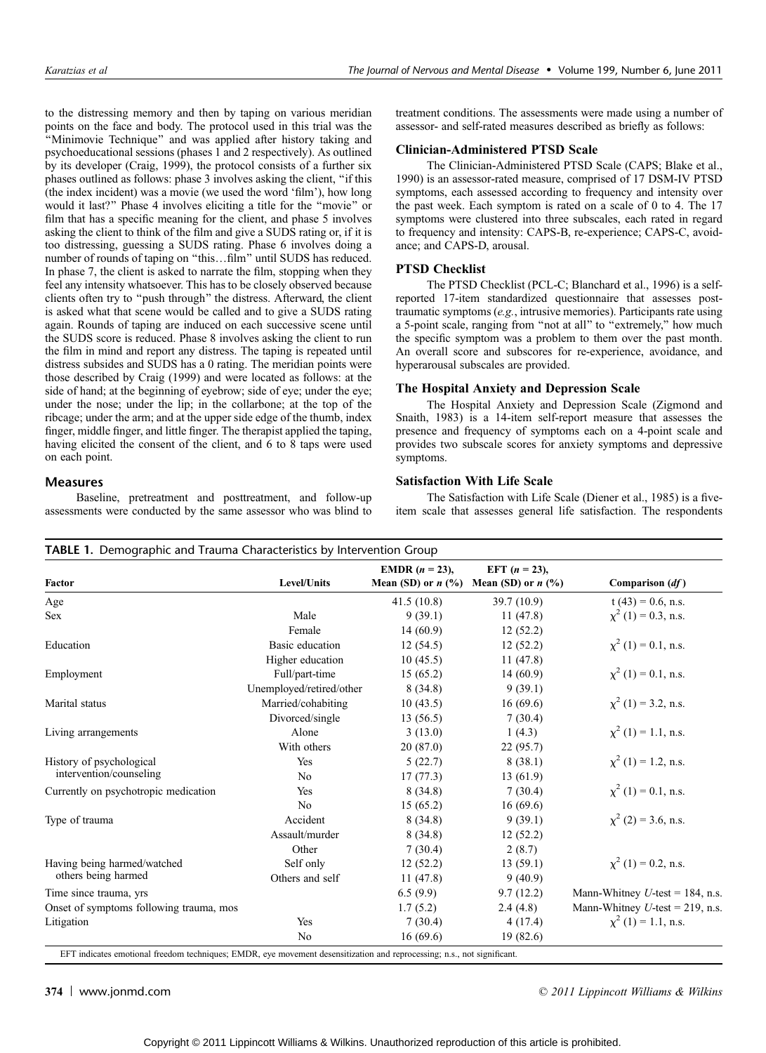to the distressing memory and then by taping on various meridian points on the face and body. The protocol used in this trial was the ''Minimovie Technique'' and was applied after history taking and psychoeducational sessions (phases 1 and 2 respectively). As outlined by its developer (Craig, 1999), the protocol consists of a further six phases outlined as follows: phase 3 involves asking the client, ''if this (the index incident) was a movie (we used the word 'film'), how long would it last?'' Phase 4 involves eliciting a title for the ''movie'' or film that has a specific meaning for the client, and phase 5 involves asking the client to think of the film and give a SUDS rating or, if it is too distressing, guessing a SUDS rating. Phase 6 involves doing a number of rounds of taping on "this...film" until SUDS has reduced. In phase 7, the client is asked to narrate the film, stopping when they feel any intensity whatsoever. This has to be closely observed because clients often try to ''push through'' the distress. Afterward, the client is asked what that scene would be called and to give a SUDS rating again. Rounds of taping are induced on each successive scene until the SUDS score is reduced. Phase 8 involves asking the client to run the film in mind and report any distress. The taping is repeated until distress subsides and SUDS has a 0 rating. The meridian points were those described by Craig (1999) and were located as follows: at the side of hand; at the beginning of eyebrow; side of eye; under the eye; under the nose; under the lip; in the collarbone; at the top of the ribcage; under the arm; and at the upper side edge of the thumb, index finger, middle finger, and little finger. The therapist applied the taping, having elicited the consent of the client, and 6 to 8 taps were used on each point.

## **Measures**

Baseline, pretreatment and posttreatment, and follow-up assessments were conducted by the same assessor who was blind to

TABLE 1. Demographic and Trauma Characteristics by Intervention Group

treatment conditions. The assessments were made using a number of assessor- and self-rated measures described as briefly as follows:

# Clinician-Administered PTSD Scale

The Clinician-Administered PTSD Scale (CAPS; Blake et al., 1990) is an assessor-rated measure, comprised of 17 DSM-IV PTSD symptoms, each assessed according to frequency and intensity over the past week. Each symptom is rated on a scale of 0 to 4. The 17 symptoms were clustered into three subscales, each rated in regard to frequency and intensity: CAPS-B, re-experience; CAPS-C, avoidance; and CAPS-D, arousal.

## PTSD Checklist

The PTSD Checklist (PCL-C; Blanchard et al., 1996) is a selfreported 17-item standardized questionnaire that assesses posttraumatic symptoms (e.g., intrusive memories). Participants rate using a 5-point scale, ranging from ''not at all'' to ''extremely,'' how much the specific symptom was a problem to them over the past month. An overall score and subscores for re-experience, avoidance, and hyperarousal subscales are provided.

#### The Hospital Anxiety and Depression Scale

The Hospital Anxiety and Depression Scale (Zigmond and Snaith, 1983) is a 14-item self-report measure that assesses the presence and frequency of symptoms each on a 4-point scale and provides two subscale scores for anxiety symptoms and depressive symptoms.

## Satisfaction With Life Scale

The Satisfaction with Life Scale (Diener et al., 1985) is a fiveitem scale that assesses general life satisfaction. The respondents

| Factor                                  | Level/Units              | <b>EMDR</b> $(n = 23)$ , | EFT $(n = 23)$ ,<br>Mean (SD) or $n$ (%) Mean (SD) or $n$ (%) | Comparison $(df)$                  |
|-----------------------------------------|--------------------------|--------------------------|---------------------------------------------------------------|------------------------------------|
| Age                                     |                          | 41.5(10.8)               | 39.7 (10.9)                                                   | $t(43) = 0.6$ , n.s.               |
| <b>Sex</b>                              | Male                     | 9(39.1)                  | 11(47.8)                                                      | $\chi^2$ (1) = 0.3, n.s.           |
|                                         | Female                   | 14(60.9)                 | 12(52.2)                                                      |                                    |
| Education                               | Basic education          | 12(54.5)                 | 12(52.2)                                                      | $\chi^2$ (1) = 0.1, n.s.           |
|                                         | Higher education         | 10(45.5)                 | 11(47.8)                                                      |                                    |
| Employment                              | Full/part-time           | 15(65.2)                 | 14(60.9)                                                      | $\chi^2$ (1) = 0.1, n.s.           |
|                                         | Unemployed/retired/other | 8(34.8)                  | 9(39.1)                                                       |                                    |
| Marital status                          | Married/cohabiting       | 10(43.5)                 | 16(69.6)                                                      | $\chi^2$ (1) = 3.2, n.s.           |
|                                         | Divorced/single          | 13(56.5)                 | 7(30.4)                                                       |                                    |
| Living arrangements                     | Alone                    | 3(13.0)                  | 1(4.3)                                                        | $\chi^2$ (1) = 1.1, n.s.           |
|                                         | With others              | 20(87.0)                 | 22(95.7)                                                      |                                    |
| History of psychological                | Yes                      | 5(22.7)                  | 8(38.1)                                                       | $\chi^2$ (1) = 1.2, n.s.           |
| intervention/counseling                 | N <sub>0</sub>           | 17(77.3)                 | 13(61.9)                                                      |                                    |
| Currently on psychotropic medication    | Yes                      | 8(34.8)                  | 7(30.4)                                                       | $\chi^2$ (1) = 0.1, n.s.           |
|                                         | N <sub>0</sub>           | 15(65.2)                 | 16(69.6)                                                      |                                    |
| Type of trauma                          | Accident                 | 8(34.8)                  | 9(39.1)                                                       | $\chi^2$ (2) = 3.6, n.s.           |
|                                         | Assault/murder           | 8(34.8)                  | 12(52.2)                                                      |                                    |
|                                         | Other                    | 7(30.4)                  | 2(8.7)                                                        |                                    |
| Having being harmed/watched             | Self only                | 12(52.2)                 | 13(59.1)                                                      | $\chi^2$ (1) = 0.2, n.s.           |
| others being harmed                     | Others and self          | 11(47.8)                 | 9(40.9)                                                       |                                    |
| Time since trauma, yrs                  |                          | 6.5(9.9)                 | 9.7(12.2)                                                     | Mann-Whitney $U$ -test = 184, n.s. |
| Onset of symptoms following trauma, mos |                          | 1.7(5.2)                 | 2.4(4.8)                                                      | Mann-Whitney $U$ -test = 219, n.s. |
| Litigation                              | Yes                      | 7(30.4)                  | 4(17.4)                                                       | $\chi^2$ (1) = 1.1, n.s.           |
|                                         | N <sub>0</sub>           | 16(69.6)                 | 19(82.6)                                                      |                                    |

374 www.jonmd.com  $\degree$  2011 Lippincott Williams & Wilkins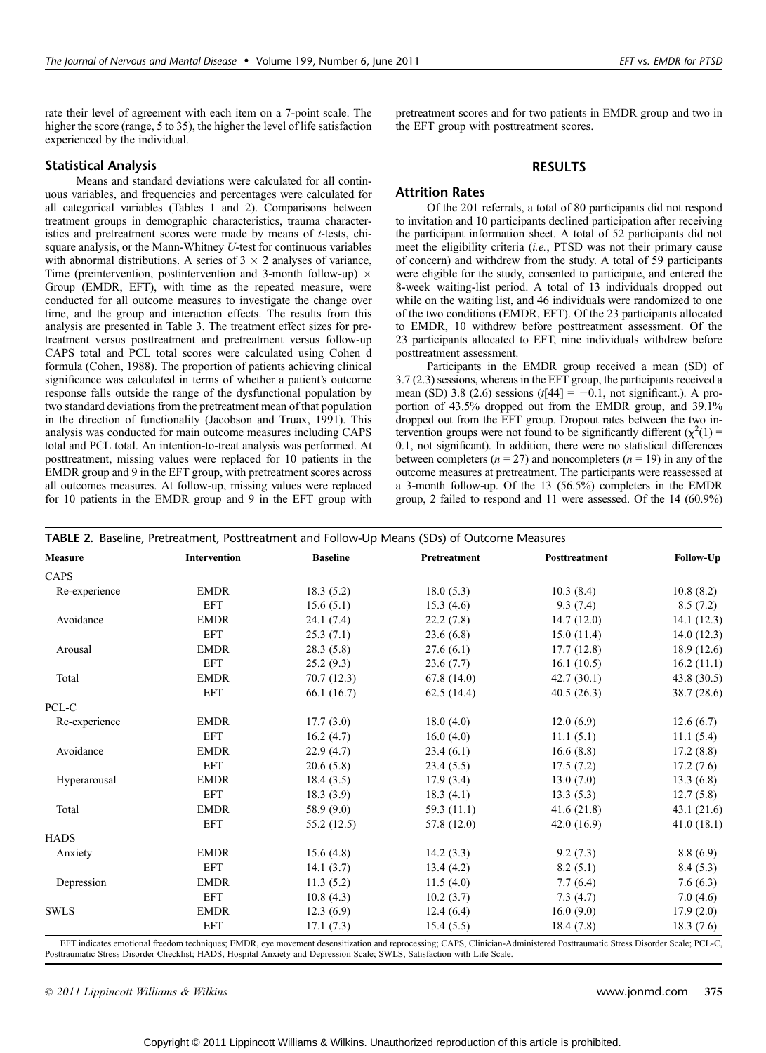rate their level of agreement with each item on a 7-point scale. The higher the score (range, 5 to 35), the higher the level of life satisfaction experienced by the individual.

# Statistical Analysis

Means and standard deviations were calculated for all continuous variables, and frequencies and percentages were calculated for all categorical variables (Tables 1 and 2). Comparisons between treatment groups in demographic characteristics, trauma characteristics and pretreatment scores were made by means of t-tests, chisquare analysis, or the Mann-Whitney U-test for continuous variables with abnormal distributions. A series of  $3 \times 2$  analyses of variance, Time (preintervention, postintervention and 3-month follow-up)  $\times$ Group (EMDR, EFT), with time as the repeated measure, were conducted for all outcome measures to investigate the change over time, and the group and interaction effects. The results from this analysis are presented in Table 3. The treatment effect sizes for pretreatment versus posttreatment and pretreatment versus follow-up CAPS total and PCL total scores were calculated using Cohen d formula (Cohen, 1988). The proportion of patients achieving clinical significance was calculated in terms of whether a patient's outcome response falls outside the range of the dysfunctional population by two standard deviations from the pretreatment mean of that population in the direction of functionality (Jacobson and Truax, 1991). This analysis was conducted for main outcome measures including CAPS total and PCL total. An intention-to-treat analysis was performed. At posttreatment, missing values were replaced for 10 patients in the EMDR group and 9 in the EFT group, with pretreatment scores across all outcomes measures. At follow-up, missing values were replaced for 10 patients in the EMDR group and 9 in the EFT group with

pretreatment scores and for two patients in EMDR group and two in the EFT group with posttreatment scores.

# RESULTS

## Attrition Rates

Of the 201 referrals, a total of 80 participants did not respond to invitation and 10 participants declined participation after receiving the participant information sheet. A total of 52 participants did not meet the eligibility criteria (i.e., PTSD was not their primary cause of concern) and withdrew from the study. A total of 59 participants were eligible for the study, consented to participate, and entered the 8-week waiting-list period. A total of 13 individuals dropped out while on the waiting list, and 46 individuals were randomized to one of the two conditions (EMDR, EFT). Of the 23 participants allocated to EMDR, 10 withdrew before posttreatment assessment. Of the 23 participants allocated to EFT, nine individuals withdrew before posttreatment assessment.

Participants in the EMDR group received a mean (SD) of 3.7 (2.3) sessions, whereas in the EFT group, the participants received a mean (SD) 3.8 (2.6) sessions  $(t[44] = -0.1$ , not significant.). A proportion of 43.5% dropped out from the EMDR group, and 39.1% dropped out from the EFT group. Dropout rates between the two intervention groups were not found to be significantly different  $(\chi^2(1)$  = 0.1, not significant). In addition, there were no statistical differences between completers ( $n = 27$ ) and noncompleters ( $n = 19$ ) in any of the outcome measures at pretreatment. The participants were reassessed at a 3-month follow-up. Of the 13 (56.5%) completers in the EMDR group, 2 failed to respond and 11 were assessed. Of the 14 (60.9%)

| Measure       | Intervention | <b>Baseline</b> | Pretreatment | Posttreatment | Follow-Up   |
|---------------|--------------|-----------------|--------------|---------------|-------------|
| CAPS          |              |                 |              |               |             |
| Re-experience | <b>EMDR</b>  | 18.3(5.2)       | 18.0(5.3)    | 10.3(8.4)     | 10.8(8.2)   |
|               | <b>EFT</b>   | 15.6(5.1)       | 15.3(4.6)    | 9.3(7.4)      | 8.5(7.2)    |
| Avoidance     | <b>EMDR</b>  | 24.1(7.4)       | 22.2(7.8)    | 14.7(12.0)    | 14.1(12.3)  |
|               | <b>EFT</b>   | 25.3(7.1)       | 23.6(6.8)    | 15.0(11.4)    | 14.0(12.3)  |
| Arousal       | <b>EMDR</b>  | 28.3(5.8)       | 27.6(6.1)    | 17.7(12.8)    | 18.9(12.6)  |
|               | <b>EFT</b>   | 25.2(9.3)       | 23.6(7.7)    | 16.1(10.5)    | 16.2(11.1)  |
| Total         | <b>EMDR</b>  | 70.7(12.3)      | 67.8(14.0)   | 42.7(30.1)    | 43.8(30.5)  |
|               | <b>EFT</b>   | 66.1(16.7)      | 62.5(14.4)   | 40.5(26.3)    | 38.7 (28.6) |
| PCL-C         |              |                 |              |               |             |
| Re-experience | <b>EMDR</b>  | 17.7(3.0)       | 18.0(4.0)    | 12.0(6.9)     | 12.6(6.7)   |
|               | <b>EFT</b>   | 16.2(4.7)       | 16.0(4.0)    | 11.1(5.1)     | 11.1(5.4)   |
| Avoidance     | <b>EMDR</b>  | 22.9(4.7)       | 23.4(6.1)    | 16.6(8.8)     | 17.2(8.8)   |
|               | <b>EFT</b>   | 20.6(5.8)       | 23.4(5.5)    | 17.5(7.2)     | 17.2(7.6)   |
| Hyperarousal  | <b>EMDR</b>  | 18.4(3.5)       | 17.9(3.4)    | 13.0(7.0)     | 13.3(6.8)   |
|               | <b>EFT</b>   | 18.3(3.9)       | 18.3(4.1)    | 13.3(5.3)     | 12.7(5.8)   |
| Total         | <b>EMDR</b>  | 58.9 (9.0)      | 59.3 (11.1)  | 41.6(21.8)    | 43.1(21.6)  |
|               | <b>EFT</b>   | 55.2(12.5)      | 57.8 (12.0)  | 42.0(16.9)    | 41.0(18.1)  |
| <b>HADS</b>   |              |                 |              |               |             |
| Anxiety       | <b>EMDR</b>  | 15.6(4.8)       | 14.2(3.3)    | 9.2(7.3)      | 8.8(6.9)    |
|               | <b>EFT</b>   | 14.1(3.7)       | 13.4(4.2)    | 8.2(5.1)      | 8.4(5.3)    |
| Depression    | <b>EMDR</b>  | 11.3(5.2)       | 11.5(4.0)    | 7.7(6.4)      | 7.6(6.3)    |
|               | <b>EFT</b>   | 10.8(4.3)       | 10.2(3.7)    | 7.3(4.7)      | 7.0(4.6)    |
| <b>SWLS</b>   | <b>EMDR</b>  | 12.3(6.9)       | 12.4(6.4)    | 16.0(9.0)     | 17.9(2.0)   |
|               | <b>EFT</b>   | 17.1(7.3)       | 15.4(5.5)    | 18.4(7.8)     | 18.3(7.6)   |

EFT indicates emotional freedom techniques; EMDR, eye movement desensitization and reprocessing; CAPS, Clinician-Administered Posttraumatic Stress Disorder Scale; PCL-C, Posttraumatic Stress Disorder Checklist; HADS, Hospi

 $\degree$  2011 Lippincott Williams & Wilkins www.jonmd.com  $\degree$  375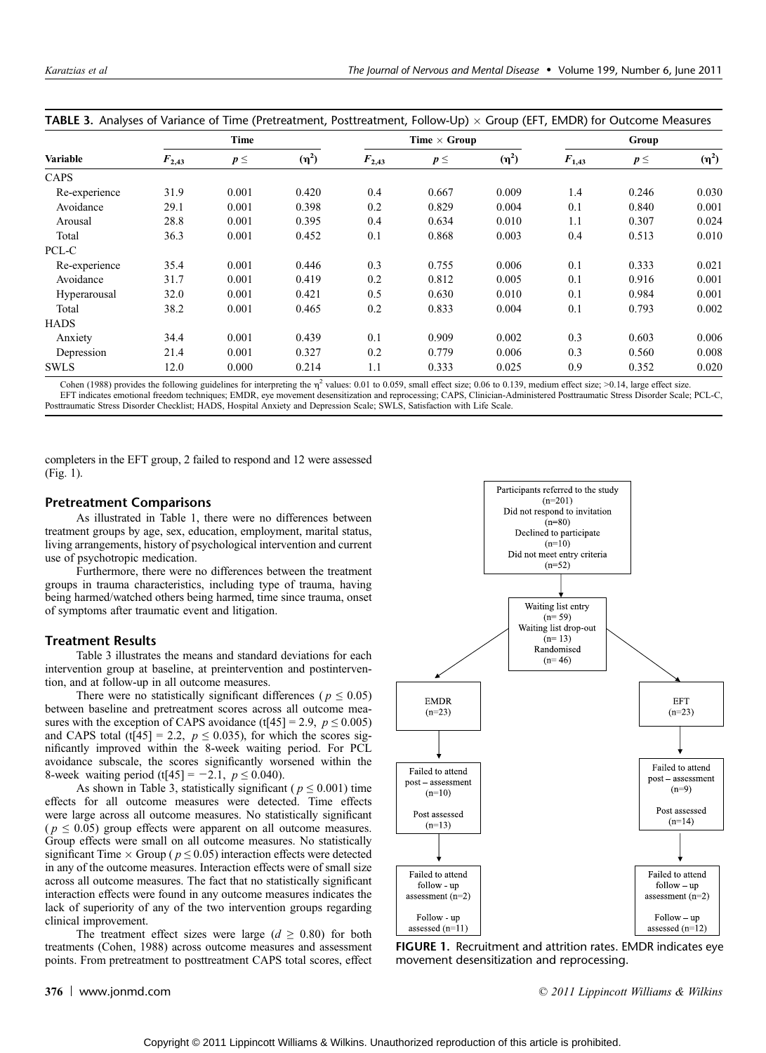| <b>TABLE 3.</b> Analyses of Variance of Time (Pretreatment, Posttreatment, Follow-Up) $\times$ Group (EFT, EMDR) for Outcome Measures |            |          |            |                     |          |            |            |          |            |
|---------------------------------------------------------------------------------------------------------------------------------------|------------|----------|------------|---------------------|----------|------------|------------|----------|------------|
| Variable                                                                                                                              | Time       |          |            | Time $\times$ Group |          |            | Group      |          |            |
|                                                                                                                                       | $F_{2,43}$ | $p \leq$ | $(\eta^2)$ | $F_{2,43}$          | $p \leq$ | $(\eta^2)$ | $F_{1,43}$ | $p \leq$ | $(\eta^2)$ |
| CAPS                                                                                                                                  |            |          |            |                     |          |            |            |          |            |
| Re-experience                                                                                                                         | 31.9       | 0.001    | 0.420      | 0.4                 | 0.667    | 0.009      | 1.4        | 0.246    | 0.030      |
| Avoidance                                                                                                                             | 29.1       | 0.001    | 0.398      | 0.2                 | 0.829    | 0.004      | 0.1        | 0.840    | 0.001      |
| Arousal                                                                                                                               | 28.8       | 0.001    | 0.395      | 0.4                 | 0.634    | 0.010      | 1.1        | 0.307    | 0.024      |
| Total                                                                                                                                 | 36.3       | 0.001    | 0.452      | 0.1                 | 0.868    | 0.003      | 0.4        | 0.513    | 0.010      |
| PCL-C                                                                                                                                 |            |          |            |                     |          |            |            |          |            |
| Re-experience                                                                                                                         | 35.4       | 0.001    | 0.446      | 0.3                 | 0.755    | 0.006      | 0.1        | 0.333    | 0.021      |
| Avoidance                                                                                                                             | 31.7       | 0.001    | 0.419      | 0.2                 | 0.812    | 0.005      | 0.1        | 0.916    | 0.001      |
| Hyperarousal                                                                                                                          | 32.0       | 0.001    | 0.421      | 0.5                 | 0.630    | 0.010      | 0.1        | 0.984    | 0.001      |
| Total                                                                                                                                 | 38.2       | 0.001    | 0.465      | 0.2                 | 0.833    | 0.004      | 0.1        | 0.793    | 0.002      |
| <b>HADS</b>                                                                                                                           |            |          |            |                     |          |            |            |          |            |
| Anxiety                                                                                                                               | 34.4       | 0.001    | 0.439      | 0.1                 | 0.909    | 0.002      | 0.3        | 0.603    | 0.006      |
| Depression                                                                                                                            | 21.4       | 0.001    | 0.327      | 0.2                 | 0.779    | 0.006      | 0.3        | 0.560    | 0.008      |
| <b>SWLS</b>                                                                                                                           | 12.0       | 0.000    | 0.214      | 1.1                 | 0.333    | 0.025      | 0.9        | 0.352    | 0.020      |

Cohen (1988) provides the following guidelines for interpreting the  $\eta^2$  values: 0.01 to 0.059, small effect size; 0.06 to 0.139, medium effect size; >0.14, large effect size. EFT indicates emotional freedom techniques; EMDR, eye movement desensitization and reprocessing; CAPS, Clinician-Administered Posttraumatic Stress Disorder Scale; PCL-C,

Posttraumatic Stress Disorder Checklist; HADS, Hospital Anxiety and Depression Scale; SWLS, Satisfaction with Life Scale.

completers in the EFT group, 2 failed to respond and 12 were assessed (Fig. 1).

# Pretreatment Comparisons

As illustrated in Table 1, there were no differences between treatment groups by age, sex, education, employment, marital status, living arrangements, history of psychological intervention and current use of psychotropic medication.

Furthermore, there were no differences between the treatment groups in trauma characteristics, including type of trauma, having being harmed/watched others being harmed, time since trauma, onset of symptoms after traumatic event and litigation.

### Treatment Results

Table 3 illustrates the means and standard deviations for each intervention group at baseline, at preintervention and postintervention, and at follow-up in all outcome measures.

There were no statistically significant differences ( $p \le 0.05$ ) between baseline and pretreatment scores across all outcome measures with the exception of CAPS avoidance (t[45] = 2.9,  $p \le 0.005$ ) and CAPS total (t[45] = 2.2,  $p \le 0.035$ ), for which the scores significantly improved within the 8-week waiting period. For PCL avoidance subscale, the scores significantly worsened within the 8-week waiting period (t[45] = -2.1,  $p \le 0.040$ ).

As shown in Table 3, statistically significant ( $p \le 0.001$ ) time effects for all outcome measures were detected. Time effects were large across all outcome measures. No statistically significant ( $p \leq 0.05$ ) group effects were apparent on all outcome measures. Group effects were small on all outcome measures. No statistically significant Time  $\times$  Group ( $p \le 0.05$ ) interaction effects were detected in any of the outcome measures. Interaction effects were of small size across all outcome measures. The fact that no statistically significant interaction effects were found in any outcome measures indicates the lack of superiority of any of the two intervention groups regarding clinical improvement.

The treatment effect sizes were large ( $d \ge 0.80$ ) for both treatments (Cohen, 1988) across outcome measures and assessment points. From pretreatment to posttreatment CAPS total scores, effect



FIGURE 1. Recruitment and attrition rates. EMDR indicates eye movement desensitization and reprocessing.

376 www.jonmd.com **and South America** and South America and South America and South America and South America and South America and South America and South America and South America and South America and South America and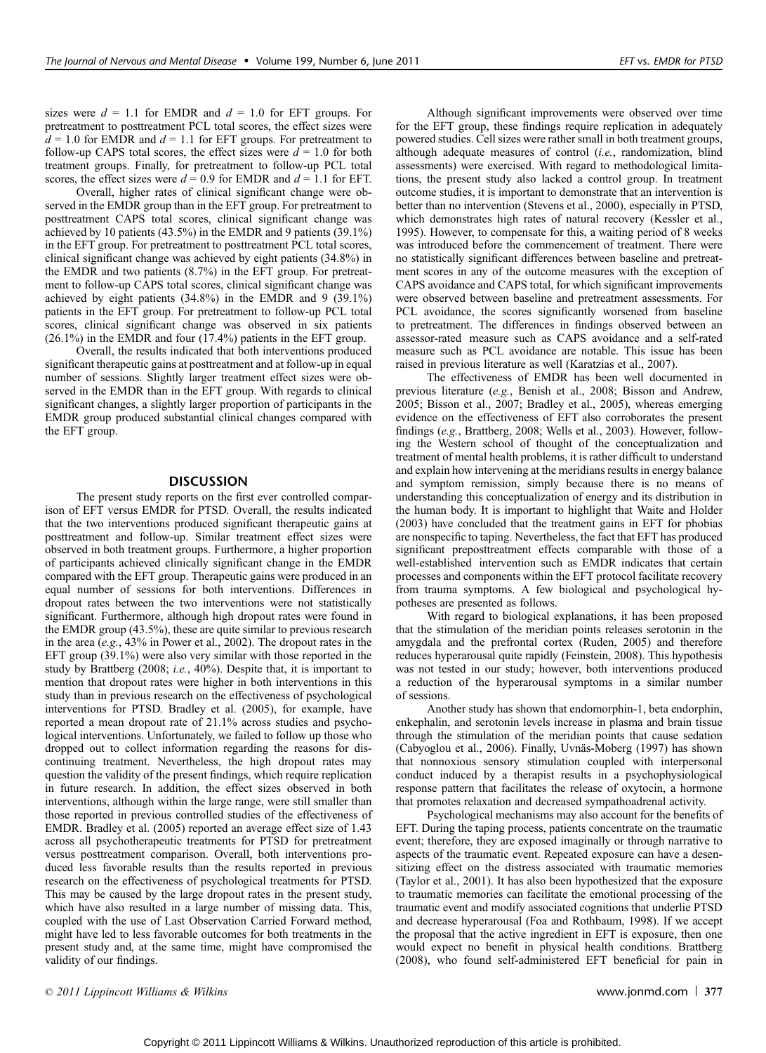sizes were  $d = 1.1$  for EMDR and  $d = 1.0$  for EFT groups. For pretreatment to posttreatment PCL total scores, the effect sizes were  $d = 1.0$  for EMDR and  $d = 1.1$  for EFT groups. For pretreatment to follow-up CAPS total scores, the effect sizes were  $d = 1.0$  for both treatment groups. Finally, for pretreatment to follow-up PCL total scores, the effect sizes were  $d = 0.9$  for EMDR and  $d = 1.1$  for EFT.

Overall, higher rates of clinical significant change were observed in the EMDR group than in the EFT group. For pretreatment to posttreatment CAPS total scores, clinical significant change was achieved by 10 patients (43.5%) in the EMDR and 9 patients (39.1%) in the EFT group. For pretreatment to posttreatment PCL total scores, clinical significant change was achieved by eight patients (34.8%) in the EMDR and two patients (8.7%) in the EFT group. For pretreatment to follow-up CAPS total scores, clinical significant change was achieved by eight patients (34.8%) in the EMDR and 9 (39.1%) patients in the EFT group. For pretreatment to follow-up PCL total scores, clinical significant change was observed in six patients (26.1%) in the EMDR and four (17.4%) patients in the EFT group.

Overall, the results indicated that both interventions produced significant therapeutic gains at posttreatment and at follow-up in equal number of sessions. Slightly larger treatment effect sizes were observed in the EMDR than in the EFT group. With regards to clinical significant changes, a slightly larger proportion of participants in the EMDR group produced substantial clinical changes compared with the EFT group.

# **DISCUSSION**

The present study reports on the first ever controlled comparison of EFT versus EMDR for PTSD. Overall, the results indicated that the two interventions produced significant therapeutic gains at posttreatment and follow-up. Similar treatment effect sizes were observed in both treatment groups. Furthermore, a higher proportion of participants achieved clinically significant change in the EMDR compared with the EFT group. Therapeutic gains were produced in an equal number of sessions for both interventions. Differences in dropout rates between the two interventions were not statistically significant. Furthermore, although high dropout rates were found in the EMDR group (43.5%), these are quite similar to previous research in the area (e.g., 43% in Power et al., 2002). The dropout rates in the EFT group (39.1%) were also very similar with those reported in the study by Brattberg (2008; i.e., 40%). Despite that, it is important to mention that dropout rates were higher in both interventions in this study than in previous research on the effectiveness of psychological interventions for PTSD. Bradley et al. (2005), for example, have reported a mean dropout rate of 21.1% across studies and psychological interventions. Unfortunately, we failed to follow up those who dropped out to collect information regarding the reasons for discontinuing treatment. Nevertheless, the high dropout rates may question the validity of the present findings, which require replication in future research. In addition, the effect sizes observed in both interventions, although within the large range, were still smaller than those reported in previous controlled studies of the effectiveness of EMDR. Bradley et al. (2005) reported an average effect size of 1.43 across all psychotherapeutic treatments for PTSD for pretreatment versus posttreatment comparison. Overall, both interventions produced less favorable results than the results reported in previous research on the effectiveness of psychological treatments for PTSD. This may be caused by the large dropout rates in the present study, which have also resulted in a large number of missing data. This, coupled with the use of Last Observation Carried Forward method, might have led to less favorable outcomes for both treatments in the present study and, at the same time, might have compromised the validity of our findings.

Although significant improvements were observed over time for the EFT group, these findings require replication in adequately powered studies. Cell sizes were rather small in both treatment groups, although adequate measures of control (i.e., randomization, blind assessments) were exercised. With regard to methodological limitations, the present study also lacked a control group. In treatment outcome studies, it is important to demonstrate that an intervention is better than no intervention (Stevens et al., 2000), especially in PTSD, which demonstrates high rates of natural recovery (Kessler et al., 1995). However, to compensate for this, a waiting period of 8 weeks was introduced before the commencement of treatment. There were no statistically significant differences between baseline and pretreatment scores in any of the outcome measures with the exception of CAPS avoidance and CAPS total, for which significant improvements were observed between baseline and pretreatment assessments. For PCL avoidance, the scores significantly worsened from baseline to pretreatment. The differences in findings observed between an assessor-rated measure such as CAPS avoidance and a self-rated measure such as PCL avoidance are notable. This issue has been raised in previous literature as well (Karatzias et al., 2007).

The effectiveness of EMDR has been well documented in previous literature (e.g., Benish et al., 2008; Bisson and Andrew, 2005; Bisson et al., 2007; Bradley et al., 2005), whereas emerging evidence on the effectiveness of EFT also corroborates the present findings (e.g., Brattberg, 2008; Wells et al., 2003). However, following the Western school of thought of the conceptualization and treatment of mental health problems, it is rather difficult to understand and explain how intervening at the meridians results in energy balance and symptom remission, simply because there is no means of understanding this conceptualization of energy and its distribution in the human body. It is important to highlight that Waite and Holder (2003) have concluded that the treatment gains in EFT for phobias are nonspecific to taping. Nevertheless, the fact that EFT has produced significant preposttreatment effects comparable with those of a well-established intervention such as EMDR indicates that certain processes and components within the EFT protocol facilitate recovery from trauma symptoms. A few biological and psychological hypotheses are presented as follows.

With regard to biological explanations, it has been proposed that the stimulation of the meridian points releases serotonin in the amygdala and the prefrontal cortex (Ruden, 2005) and therefore reduces hyperarousal quite rapidly (Feinstein, 2008). This hypothesis was not tested in our study; however, both interventions produced a reduction of the hyperarousal symptoms in a similar number of sessions.

Another study has shown that endomorphin-1, beta endorphin, enkephalin, and serotonin levels increase in plasma and brain tissue through the stimulation of the meridian points that cause sedation (Cabyoglou et al., 2006). Finally, Uvnäs-Moberg (1997) has shown that nonnoxious sensory stimulation coupled with interpersonal conduct induced by a therapist results in a psychophysiological response pattern that facilitates the release of oxytocin, a hormone that promotes relaxation and decreased sympathoadrenal activity.

Psychological mechanisms may also account for the benefits of EFT. During the taping process, patients concentrate on the traumatic event; therefore, they are exposed imaginally or through narrative to aspects of the traumatic event. Repeated exposure can have a desensitizing effect on the distress associated with traumatic memories (Taylor et al., 2001). It has also been hypothesized that the exposure to traumatic memories can facilitate the emotional processing of the traumatic event and modify associated cognitions that underlie PTSD and decrease hyperarousal (Foa and Rothbaum, 1998). If we accept the proposal that the active ingredient in EFT is exposure, then one would expect no benefit in physical health conditions. Brattberg (2008), who found self-administered EFT beneficial for pain in